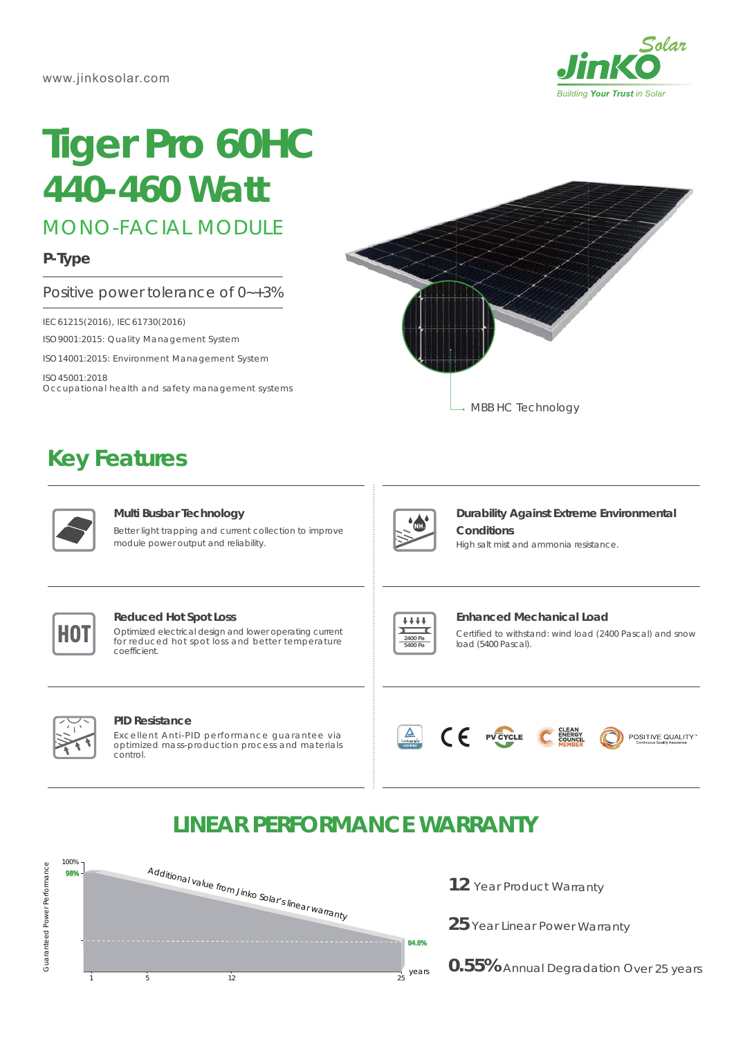

# **Tiger Pro 60HC** *435-455 Watt*

MONO-FACIAL MODULE

#### **P-Type**

#### Positive power tolerance of 0~+3%

IEC61215(2016), IEC61730(2016)

ISO9001:2015: Quality Management System

ISO14001:2015: Environment Management System

ISO45001:2018 Occupational health and safety management systems

(Made in China/Malaysia/Vietnam/U.S)

## **Key Features**



#### **Multi Busbar Technology**

Better light trapping and current collection to improve module power output and reliability.



#### **Reduced Hot Spot Loss**

**HOT** Optimized electrical design and lower operating current for reduced hot spot loss and better temperature for reduced hot spot loss and better temperature coefficient.



#### **Enhanced Mechanical Load**

MBB HC Technology

Certified to withstand: wind load (2400 Pascal) and snow load (5400 Pascal).



### **LINEAR PERFORMANCE WARRANTY**



12 Year Product Warranty

25 Year Linear Power Warranty

**0.55%** Annual Degradation Over 25 years